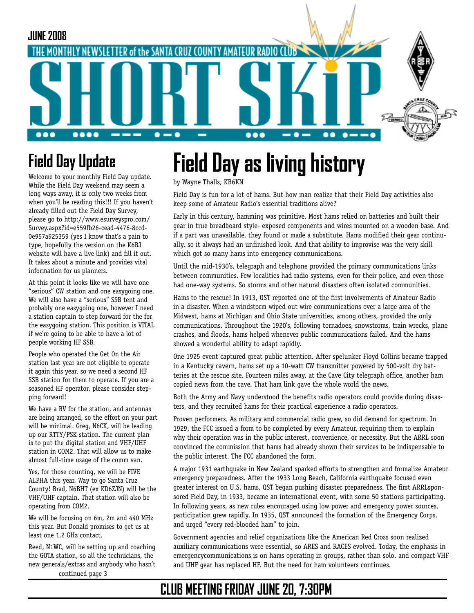

## **Field Day Update**

Welcome to your monthly Field Day update. While the Field Day weekend may seem a long ways away, it is only two weeks from when you'll be reading this!!! If you haven't already filled out the Field Day Survey, please go to http://www.esurveyspro.com/ Survey.aspx?id=e559fb26-cead-4476-8ccd-[0e957a925359 \(yes I know that's a pain to](http://www.esurveyspro.com/Survey.aspx?id=e559fb26-cead-4476-8ccd-0e957a925359)  type, hopefully the version on the K6BJ website will have a live link) and fill it out. It takes about a minute and provides vital information for us planners.

At this point it looks like we will have one "serious" CW station and one easygoing one. We will also have a "serious" SSB tent and probably one easygoing one, however I need a station captain to step forward for the for the easygoing station. This position is VITAL if we're going to be able to have a lot of people working HF SSB.

People who operated the Get On the Air station last year are not eligible to operate it again this year, so we need a second HF SSB station for them to operate. If you are a seasoned HF operator, please consider stepping forward!

We have a RV for the station, and antennas are being arranged, so the effort on your part will be minimal. Greg, N6CK, will be leading up our RTTY/PSK station. The current plan is to put the digital station and VHF/UHF station in COM2. That will allow us to make almost full-time usage of the comm van.

Yes, for those counting, we will be FIVE ALPHA this year. Way to go Santa Cruz County! Brad, N6BHT (ex KD6ZJN) will be the VHF/UHF captain. That station will also be operating from COM2.

We will be focusing on 6m, 2m and 440 MHz this year. But Donald promises to get us at least one 1.2 GHz contact.

Reed, N1WC, will be setting up and coaching the GOTA station, so all the technicians, the new generals/extras and anybody who hasn't continued page 3

# **Field Day as living history**

by Wayne Thalls, KB6KN

Field Day is fun for a lot of hams. But how man realize that their Field Day activities also keep some of Amateur Radio's essential traditions alive?

Early in this century, hamming was primitive. Most hams relied on batteries and built their gear in true breadboard style- exposed components and wires mounted on a wooden base. And if a part was unavailable, they found or made a substitute. Hams modified their gear continually, so it always had an unfinished look. And that ability to improvise was the very skill which got so many hams into emergency communications.

Until the mid-1930's, telegraph and telephone provided the primary communications links between communities. Few localities had radio systems, even for their police, and even those had one-way systems. So storms and other natural disasters often isolated communities.

Hams to the rescue! In 1913, QST reported one of the first involvements of Amateur Radio in a disaster. When a windstorm wiped out wire communications over a large area of the Midwest, hams at Michigan and Ohio State universities, among others, provided the only communications. Throughout the 1920's, following tornadoes, snowstorms, train wrecks, plane crashes, and floods, hams helped whenever public communications failed. And the hams showed a wonderful ability to adapt rapidly.

One 1925 event captured great public attention. After spelunker Floyd Collins became trapped in a Kentucky cavern, hams set up a 10-watt CW transmitter powered by 500-volt dry batteries at the rescue site. Fourteen miles away, at the Cave City telegraph office, another ham copied news from the cave. That ham link gave the whole world the news.

Both the Army and Navy understood the benefits radio operators could provide during disasters, and they recruited hams for their practical experience a radio operators.

Proven performers. As military and commercial radio grew, so did demand for spectrum. In 1929, the FCC issued a form to be completed by every Amateur, requiring them to explain why their operation was in the public interest, convenience, or necessity. But the ARRL soon convinced the commission that hams had already shown their services to be indispensable to the public interest. The FCC abandoned the form.

A major 1931 earthquake in New Zealand sparked efforts to strengthen and formalize Amateur emergency preparedness. After the 1933 Long Beach, California earthquake focused even greater interest on U.S. hams, QST began pushing disaster preparedness. The first ARRLsponsored Field Day, in 1933, became an international event, with some 50 stations participating. In following years, as new rules encouraged using low power and emergency power sources, participation grew rapidly. In 1935, QST announced the formation of the Emergency Corps, and urged "every red-blooded ham" to join.

Government agencies and relief organizations like the American Red Cross soon realized auxiliary communications were essential, so ARES and RACES evolved. Today, the emphasis in emergencycommunications is on hams operating in groups, rather than solo, and compact VHF and UHF gear has replaced HF. But the need for ham volunteers continues.

### **CLUB MEETING FRIDAY JUNE 20, 7:30PM**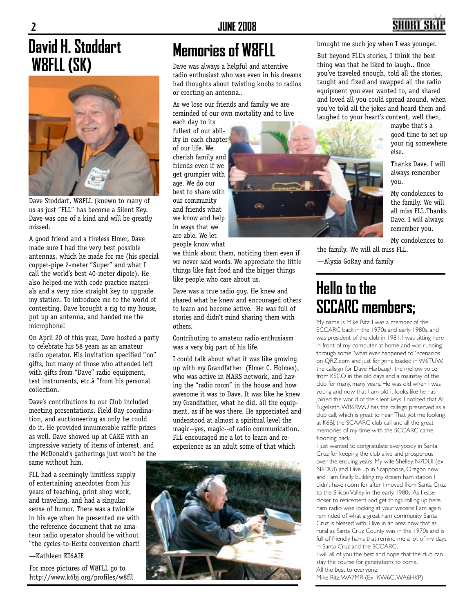# **David H. Stoddart W8FLL (SK)**



Dave Stoddart, W8FLL (known to many of us as just "FLL" has become a Silent Key. Dave was one of a kind and will be greatly missed.

A good friend and a tireless Elmer, Dave made sure I had the very best possible antennas, which he made for me (his special copper-pipe 2-meter "Super" and what I call the world's best 40-meter dipole). He also helped me with code practice materials and a very nice straight key to upgrade my station. To introduce me to the world of contesting, Dave brought a rig to my house, put up an antenna, and handed me the microphone!

On April 20 of this year, Dave hosted a party to celebrate his 58 years as an amateur radio operator. His invitation specified "no" gifts, but many of those who attended left with gifts from "Dave" radio equipment, test instruments, etc.â€from his personal collection.

Dave's contributions to our Club included meeting presentations, Field Day coordination, and auctioneering as only he could do it. He provided innumerable raffle prizes as well. Dave showed up at CAKE with an impressive variety of items of interest, and the McDonald's gatherings just won't be the same without him.

FLL had a seemingly limitless supply of entertaining anecdotes from his years of teaching, print shop work, and traveling, and had a singular sense of humor. There was a twinkle in his eye when he presented me with the reference document that no amateur radio operator should be without "the cycles-to-Hertz conversion chart!

—Kathleen KI6AIE

For more pictures of W8FLL go to http://www.k6bj.org/profiles/w8fll

### **Memories of W8FLL**

Dave was always a helpful and attentive radio enthusiast who was even in his dreams had thoughts about twisting knobs to radios or erecting an antenna..

As we lose our friends and family we are reminded of our own mortality and to live

each day to its fullest of our ability in each chapter of our life. We cherish family and friends even if we get grumpier with age. We do our best to share with our community and friends what we know and help in ways that we are able. We let people know what

we think about them, noticing them even if we never said words. We appreciate the little things like fast food and the bigger things like people who care about us.

G

Dave was a true radio guy. He knew and shared what he knew and encouraged others to learn and become active. He was full of stories and didn't mind sharing them with others.

Contributing to amateur radio enthusiasm was a very big part of his life.

I could talk about what it was like growing up with my Grandfather (Elmer C. Holmes), who was active in MARS network, and having the "radio room" in the house and how awesome it was to Dave. It was like he knew my Grandfather, what he did, all the equipment, as if he was there. He appreciated and understood at almost a spiritual level the magic--yes, magic--of radio communication. FLL encouraged me a lot to learn and reexperience as an adult some of that which



brought me such joy when I was younger.

But beyond FLL's stories, I think the best thing was that he liked to laugh.. Once you've traveled enough, told all the stories, taught and fixed and swapped all the radio equipment you ever wanted to, and shared and loved all you could spread around, when you've told all the jokes and heard them and laughed to your heart's content, well then,

maybe that's a good time to set up your rig somewhere else.

Thanks Dave. I will always remember you.

My condolences to the family. We will all miss FLL.Thanks Dave. I will always remember you.

My condolences to the family. We will all miss FLL.

—Alysia GoRay and family

### **Hello to the SCCARC members;**

My name is Mike Ritz. I was a member of the SCCARC back in the 1970s and early 1980s, and was president of the club in 1981. I was sitting here in front of my computer at home and was running through some "what ever happened to" scenarios on QRZ.com and just for grins loaded in W6TUW, the callsign for Dave Harbaugh the mellow voice from KSCO in the old days and a mainstay of the club for many, many years. He was old when I was young and now that I am old it looks like he has joined the world of the silent keys. I noticed that Al Fugelseth, WB6RWU has the callsign preserved as a club call, which is great to hear! That got me looking at K6BJ, the SCAARC club call and all the great memories of my time with the SCCARC came flooding back.

I just wanted to congratulate everybody in Santa Cruz for keeping the club alive and prosperous over the ensuing years. My wife Shelley, N7DUI (ex-N6DUI) and I live up in Scappoose, Oregon now and I am finally building my dream ham station I didn't have room for after I moved from Santa Cruz to the Silicon Valley in the early 1980s. As I ease closer to retirement and get things rolling up here ham radio wise looking at your website I am again reminded of what a great ham community Santa Cruz is blessed with. I live in an area now that as rural as Santa Cruz County was in the 1970s and is full of friendly hams that remind me a lot of my days in Santa Cruz and the SCCARC.

I will all of you the best and hope that the club can stay the course for generations to come. All the best to everyone;

Mike Ritz, WA7MR (Ex- KW6C, WA6HKP)

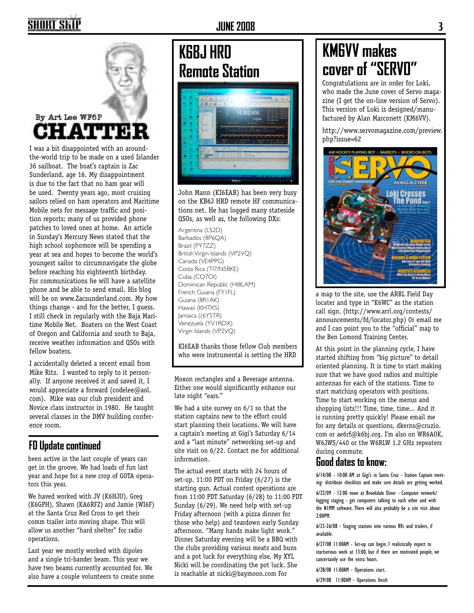### SHORT SKI

### By Art Lee WF6P **CHATTER**

I was a bit disappointed with an aroundthe-world trip to be made on a used Islander 36 sailboat. The boat's captain is Zac Sunderland, age 16. My disappointment is due to the fact that no ham gear will be used. Twenty years ago, most cruising sailors relied on ham operators and Maritime Mobile nets for message traffic and position reports; many of us provided phone patches to loved ones at home. An article in Sunday's Mercury News stated that the high school sophomore will be spending a year at sea and hopes to become the world's youngest sailor to circumnavigate the globe before reaching his eighteenth birthday. For communications he will have a satellite phone and be able to send email. His blog will be on www.Zacsunderland.com. My how things change - and for the better, I guess. I still check in regularly with the Baja Maritime Mobile Net. Boaters on the West Coast of Oregon and California and south to Baja, receive weather information and QSOs with fellow boaters.

I accidentally deleted a recent email from Mike Ritz. I wanted to reply to it personally. If anyone received it and saved it, I would appreciate a forward (codelee@aol. com). Mike was our club president and Novice class instructor in 1980. He taught several classes in the DMV building conference room.

#### **FD Update continued**

been active in the last couple of years can get in the groove. We had loads of fun last year and hope for a new crop of GOTA operators this year.

We haved worked with JV (K6HJU), Greg (K6GPH), Shawn (KA6RFZ) and Jamie (WI6F) at the Santa Cruz Red Cross to get their comm trailer into moving shape. This will allow us another "hard shelter" for radio operations.

Last year we mostly worked with dipoles and a single tri-bander beam. This year we have two beams currently accounted for. We also have a couple volunteers to create some

#### **JUNE 2008 3**

### **K6BJ HRD Remote Station**



John Mann (KI6EAB) has been very busy on the KB6J HRD remote HF communications net. He has logged many stateside QSOs, as well as, the following DXs:

Argentina (LS2D) Barbados (8P6QA) Brazil (PY7ZZ) British Virgin Islands (VP2VQ) Canada (VE4PPG) Costa Rica (TI7/N5BKE) Cuba (CO7OI) Dominican Republic (HI8LAM) French Guiana (FY1FL) Guiana (8R1AK) Hawaii (KH7XS) Jamaica ((6Y5TR) Venezuela (YV1RDX) Virgin Islands (VP2VQ)

KI6EAB thanks those fellow Club members who were instrumental is setting the HRD

Moxon rectangles and a Beverage antenna. Either one would significantly enhance our late night "ears."

We had a site survey on 6/1 so that the station captains new to the effort could start planning their locations. We will have a captain's meeting at Gigi's Saturday 6/14 and a "last minute" networking set-up and site visit on 6/22. Contact me for additional information.

The actual event starts with 24 hours of set-up. 11:00 PDT on Friday (6/27) is the starting gun. Actual contest operations are from 11:00 PDT Saturday (6/28) to 11:00 PDT Sunday (6/29). We need help with set-up Friday afternoon (with a pizza dinner for those who help) and teardown early Sunday afternoon. "Many hands make light work." Dinner Saturday evening will be a BBQ with the clubs providing various meats and buns and a pot luck for everything else. My XYL Nicki will be coordinating the pot luck. She is reachable at nicki@baymoon.com For

## **KM6VV makes cover of "SERVO"**

Congratulations are in order for Loki, who made the June cover of Servo magazine (I get the on-line version of Servo). This version of Loki is designed/manufactured by Alan Marconett (KM6VV).

http://www.servomagazine.com/preview. php?issue=62



a map to the site, use the ARRL Field Day locater and type in "K6WC" as the station call sign. (http://www.arrl.org/contests/ announcements/fd/locator.php) Or email me and I can point you to the "official" map to the Ben Lomond Training Center.

At this point in the planning cycle, I have started shifting from "big picture" to detail oriented planning. It is time to start making sure that we have good radios and multiple antennas for each of the stations. Time to start matching operators with positions. Time to start working on the menus and shopping lists!!! Time, time, time... And it is running pretty quickly! Please email me for any details or questions, dkerns@cruzio. com or ae6rf@k6bj.org. I'm also on WR6AOK, W6JWS/440 or the W6RLW 1.2 GHz repeaters during commute.

#### **Good dates to know:**

6/14/08 - 10:00 AM at Gigi's in Santa Cruz - Station Captain meeting- distribute checklists and make sure details are getting worked.

6/22/09 - 12:00 noon at Brookdale Diner - Computer network/ logging staging - get computers talking to each other and with the N1MM software. There will also probably be a site visit about 2:00PM.

6/23-26/08 - Staging stations into various RVs and trailers, if available.

6/27/08 11:00AM - Set-up can begin. I realistically expect to startserious work at 13:00, but if there are motivated people, we cancertainly use the extra hours.

6/28/08 11:00AM - Operations start.

6/29/08 11:00AM - Operations finish